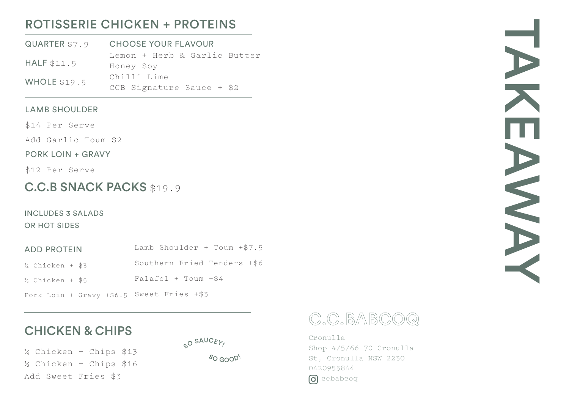# ROTISSERIE CHICKEN + PROTEINS

QUARTER \$7.9 HALF \$11.5 WHOLE \$19.5 CHOOSE YOUR FLAVOUR Lemon + Herb & Garlic Butter Honey Soy Chilli Lime CCB Signature Sauce + \$2

#### LAMB SHOULDER

\$14 Per Serve

Add Garlic Toum \$2

PORK LOIN + GRAVY

\$12 Per Serve

# C.C.B SNACK PACKS \$19.9

# INCLUDES 3 SALADS

OR HOT SIDES

| <b>ADD PROTEIN</b> | Lamb Shoulder + Toum $+ $7.5$ |
|--------------------|-------------------------------|
| ½ Chicken + \$3    | Southern Fried Tenders +\$6   |
| % Chicken + \$5    | $Falafel + Town + $4$         |

Pork Loin + Gravy +\$6.5 Sweet Fries +\$3

# CHICKEN & CHIPS

SO SAUCEY!

¼ Chicken + Chips \$13 ½ Chicken + Chips \$16 Add Sweet Fries \$3





Cronulla Shop 4/5/66-70 Cronulla St, Cronulla NSW 2230 0420955844 **c** ccbabcoq